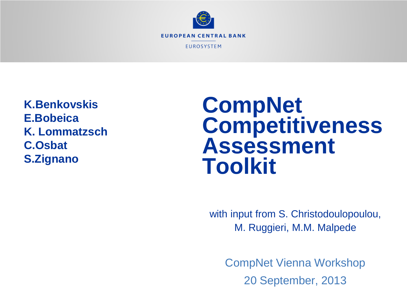

**K.Benkovskis E.Bobeica K. Lommatzsch C.Osbat S.Zignano**

# **CompNet Competitiveness Assessment Toolkit**

with input from S. Christodoulopoulou, M. Ruggieri, M.M. Malpede

CompNet Vienna Workshop 20 September, 2013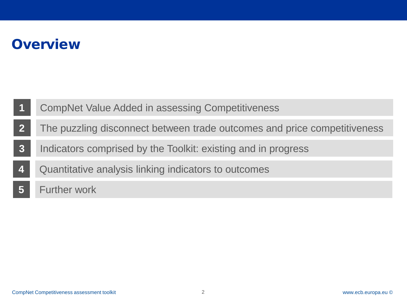### **Overview**

- **1** CompNet Value Added in assessing Competitiveness
- **2** The puzzling disconnect between trade outcomes and price competitiveness
- **3** Indicators comprised by the Toolkit: existing and in progress
- **4** Quantitative analysis linking indicators to outcomes
- **5** Further work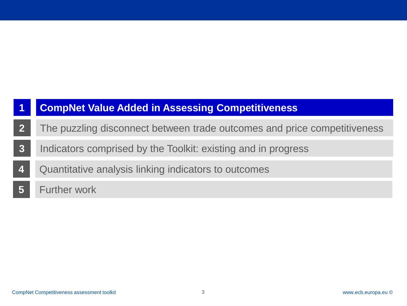- **2** The puzzling disconnect between trade outcomes and price competitiveness
- **3** Indicators comprised by the Toolkit: existing and in progress
- **4** Quantitative analysis linking indicators to outcomes
- **5** Further work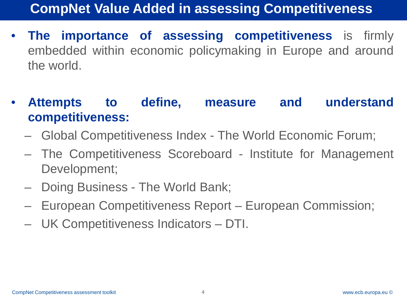- **The importance of assessing competitiveness** is firmly embedded within economic policymaking in Europe and around the world.
- **Attempts to define, measure and understand competitiveness:**
	- Global Competitiveness Index The World Economic Forum;
	- The Competitiveness Scoreboard Institute for Management Development;
	- Doing Business The World Bank;
	- European Competitiveness Report European Commission;
	- UK Competitiveness Indicators DTI.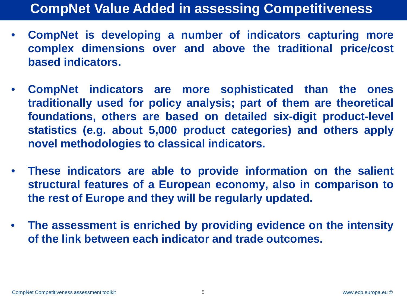- **CompNet is developing a number of indicators capturing more complex dimensions over and above the traditional price/cost based indicators.**
- **CompNet indicators are more sophisticated than the ones traditionally used for policy analysis; part of them are theoretical foundations, others are based on detailed six-digit product-level statistics (e.g. about 5,000 product categories) and others apply novel methodologies to classical indicators.**
- **These indicators are able to provide information on the salient structural features of a European economy, also in comparison to the rest of Europe and they will be regularly updated.**
- **The assessment is enriched by providing evidence on the intensity of the link between each indicator and trade outcomes.**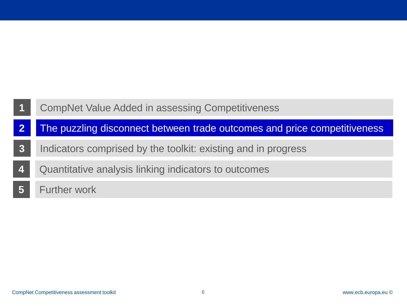- **2** The puzzling disconnect between trade outcomes and price competitiveness
- **3** Indicators comprised by the toolkit: existing and in progress
- **4** Quantitative analysis linking indicators to outcomes
- **5** Further work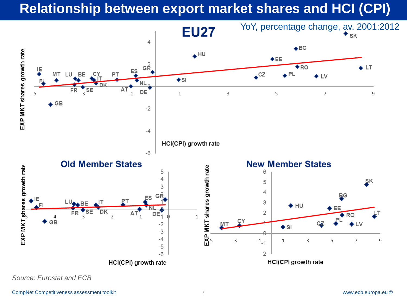## **Relationship between export market shares and HCI (CPI)**



*Source: Eurostat and ECB*

CompNet Competitiveness assessment toolkit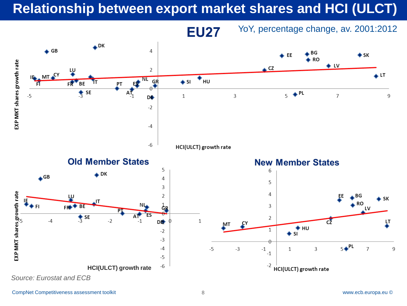## **Relationship between export market shares and HCI (ULCT)**



CompNet Competitiveness assessment toolkit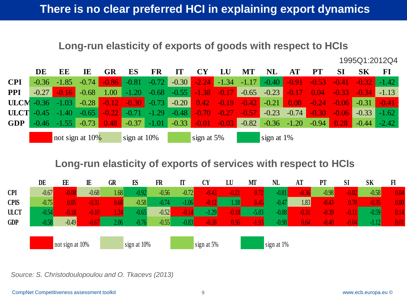#### **Long-run elasticity of exports of goods with respect to HCIs**

1995Q1:2012Q4

|                    | DE      | EE              | IE      | GR      | ES                                      | FR              |                         |                |                | МT                  | <b>NL</b>                       |               |         |                      | SK             | FI      |
|--------------------|---------|-----------------|---------|---------|-----------------------------------------|-----------------|-------------------------|----------------|----------------|---------------------|---------------------------------|---------------|---------|----------------------|----------------|---------|
| <b>CPI</b>         | $-0.36$ | $-1.85$         | $-0.74$ |         | $-0.86$ $-0.81$ $-0.72$                 |                 | $-0.30$                 |                |                |                     | $-2.24$ $-1.34$ $-1.17$ $-0.40$ | $-0.91$       | $-0.53$ |                      | $-0.41 - 0.32$ | $-1.42$ |
| <b>PPI</b>         | $-0.27$ | $-0.16$         | $-0.68$ | 1.00    |                                         |                 | $-1.20$ $-0.68$ $-0.55$ | $-1.38 - 0.17$ |                |                     | $-0.65$ $-0.23$                 | $-0.17$       | 0.04    | $-0.33$              | $-0.34$        | $-1.13$ |
| $ULCM$ -0.36 -1.03 |         |                 |         |         | $-0.28$ $-0.12$ $-0.30$ $-0.73$ $-0.20$ |                 |                         |                |                |                     |                                 |               |         | $0.08 - 0.24 - 0.06$ | $-0.31$        | $-0.41$ |
| $ULCT -0.45 -1.40$ |         |                 | $-0.65$ | $-0.22$ |                                         |                 | $-0.71 -1.29 -0.48$     | $-0.70$        | $-0.27$        | $\bigcup_{i=1}^{n}$ | $-0.23$                         | $-0.74$       | $-0.30$ | $-0.06$              | $-0.33$        | $-1.62$ |
| <b>GDP</b>         |         | $-0.46 -1.55$   | $-0.73$ | 0.48    |                                         | $-0.37$ $-1.01$ | $-0.33$                 |                | $-0.01 - 0.03$ | $-0.82$             |                                 | $-0.36 -1.20$ | $-0.94$ | 0.28                 | $-0.44$        | $-2.42$ |
|                    |         | not sign at 10% |         |         | sign at 10%                             |                 | sign at $5\%$           |                |                |                     | sign at $1\%$                   |               |         |                      |                |         |

#### **Long-run elasticity of exports of services with respect to HCIs**



*Source: S. Christodoulopoulou and O. Tkacevs (2013)*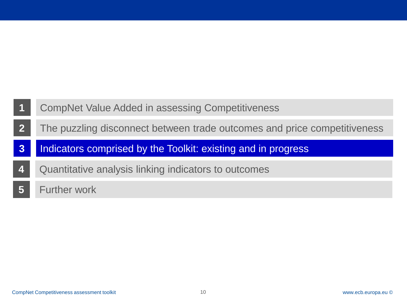- **2** The puzzling disconnect between trade outcomes and price competitiveness
- **3** Indicators comprised by the Toolkit: existing and in progress
- **4** Quantitative analysis linking indicators to outcomes
- **5** Further work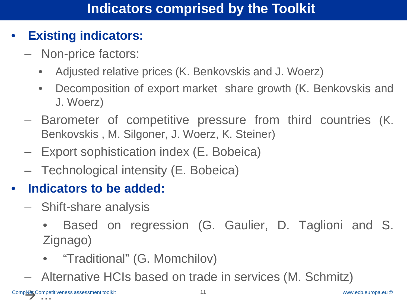#### • **Existing indicators:**

- Non-price factors:
	- Adjusted relative prices (K. Benkovskis and J. Woerz)
	- Decomposition of export market share growth (K. Benkovskis and J. Woerz)
- Barometer of competitive pressure from third countries (K. Benkovskis , M. Silgoner, J. Woerz, K. Steiner)
- Export sophistication index (E. Bobeica)
- Technological intensity (E. Bobeica)

### • **Indicators to be added:**

- Shift-share analysis
	- Based on regression (G. Gaulier, D. Taglioni and S. Zignago)
	- "Traditional" (G. Momchilov)
- Alternative HCIs based on trade in services (M. Schmitz)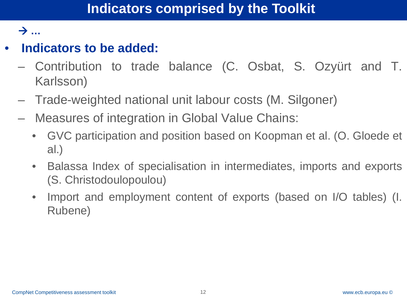#### **…**

### • **Indicators to be added:**

- Contribution to trade balance (C. Osbat, S. Ozyürt and T. Karlsson)
- Trade-weighted national unit labour costs (M. Silgoner)
- Measures of integration in Global Value Chains:
	- GVC participation and position based on Koopman et al. (O. Gloede et al.)
	- Balassa Index of specialisation in intermediates, imports and exports (S. Christodoulopoulou)
	- Import and employment content of exports (based on I/O tables) (I. Rubene)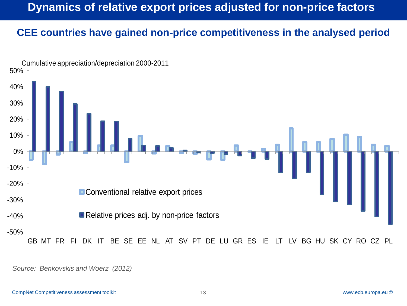## **Dynamics of relative export prices adjusted for non-price factors**

#### **CEE countries have gained non-price competitiveness in the analysed period**



*Source: Benkovskis and Woerz (2012)*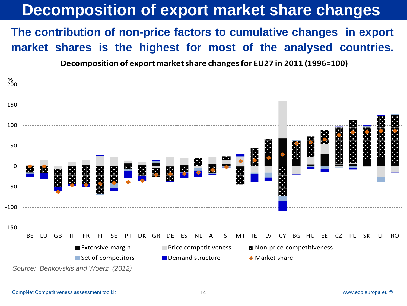# **Decomposition of export market share changes**

#### **The contribution of non-price factors to cumulative changes in export market shares is the highest for most of the analysed countries.**

**Decomposition of export market share changes for EU27 in 2011 (1996=100)**

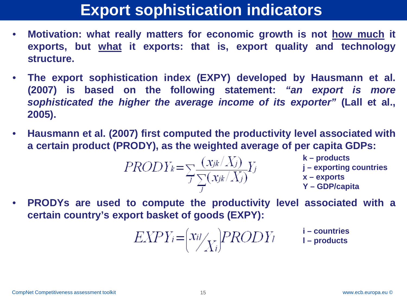## **Export sophistication indicators**

- **Motivation: what really matters for economic growth is not how much it exports, but what it exports: that is, export quality and technology structure.**
- **The export sophistication index (EXPY) developed by Hausmann et al. (2007) is based on the following statement:** *"an export is more sophisticated the higher the average income of its exporter"* **(Lall et al., 2005).**
- **Hausmann et al. (2007) first computed the productivity level associated with a certain product (PRODY), as the weighted average of per capita GDPs:**

$$
PROD Y_k = \sum_{J} \frac{(x_{jk}/X_j)}{\sum_{J} (x_{jk}/X_j)} Y_j
$$

- **k – products**
- **j – exporting countries**
- **x – exports**
- **Y – GDP/capita**
- **PRODYs are used to compute the productivity level associated with a certain country's export basket of goods (EXPY):**

$$
EXPY_i = \left(\frac{x_{il}}{X_i}\right) PRODY_l \qquad \text{1-conducts} \qquad \text{1-products}
$$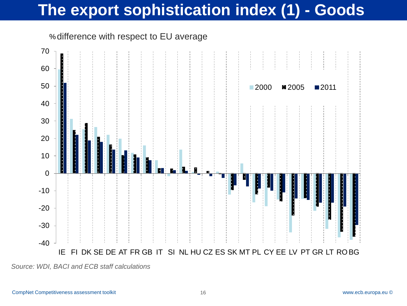# **The export sophistication index (1) - Goods**

%difference with respect to EU average



*Source: WDI, BACI and ECB staff calculations*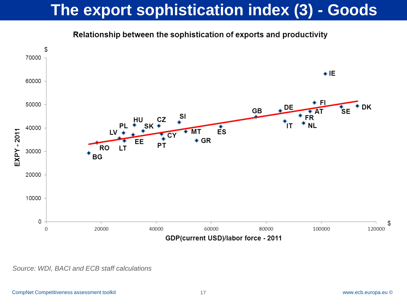# **The export sophistication index (3) - Goods**



Relationship between the sophistication of exports and productivity

*Source: WDI, BACI and ECB staff calculations*

\$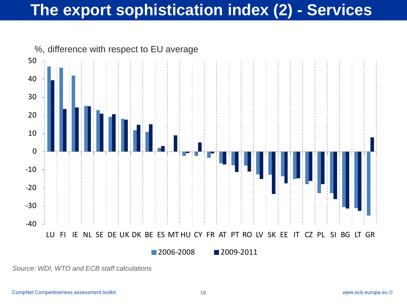# **The export sophistication index (2) - Services**



*Source: WDI, WTO and ECB staff calculations*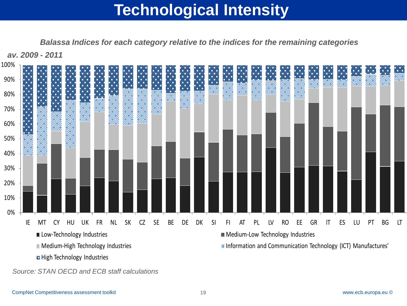# **Technological Intensity**

*Balassa Indices for each category relative to the indices for the remaining categories*



*Source: STAN OECD and ECB staff calculations*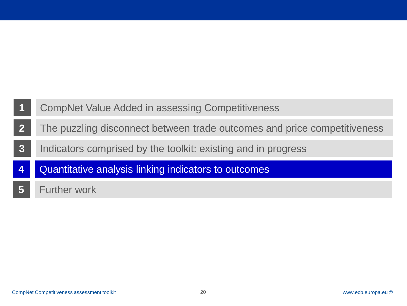- **2** The puzzling disconnect between trade outcomes and price competitiveness
- **3** Indicators comprised by the toolkit: existing and in progress
- **4** Quantitative analysis linking indicators to outcomes
- **5** Further work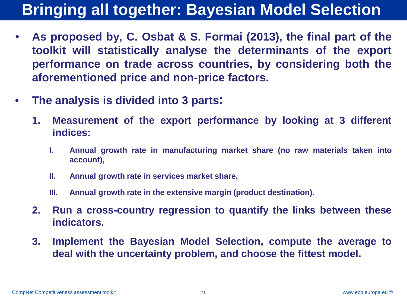# **Bringing all together: Bayesian Model Selection**

- **As proposed by, C. Osbat & S. Formai (2013), the final part of the toolkit will statistically analyse the determinants of the export performance on trade across countries, by considering both the aforementioned price and non-price factors.**
- **The analysis is divided into 3 parts:**
	- **1. Measurement of the export performance by looking at 3 different indices:**
		- **I. Annual growth rate in manufacturing market share (no raw materials taken into account),**
		- **II. Annual growth rate in services market share,**
		- **III. Annual growth rate in the extensive margin (product destination).**
	- **2. Run a cross-country regression to quantify the links between these indicators.**
	- **3. Implement the Bayesian Model Selection, compute the average to deal with the uncertainty problem, and choose the fittest model.**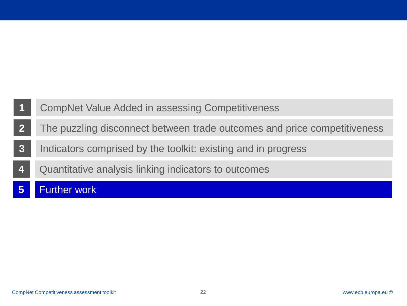- **2** The puzzling disconnect between trade outcomes and price competitiveness
- **3** Indicators comprised by the toolkit: existing and in progress
- **4** Quantitative analysis linking indicators to outcomes
- **5** Further work